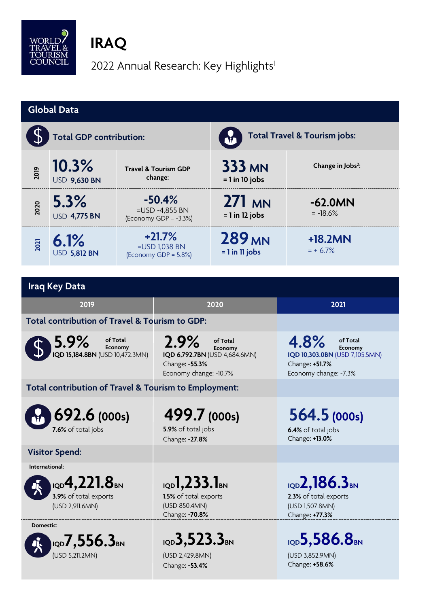

# **IRAQ**

2022 Annual Research: Key Highlights<sup>1</sup>

| <b>Global Data</b>                                                             |                                |                                                                                                    |                                                                                                          |                                                                                          |                                                                                                          |  |  |  |
|--------------------------------------------------------------------------------|--------------------------------|----------------------------------------------------------------------------------------------------|----------------------------------------------------------------------------------------------------------|------------------------------------------------------------------------------------------|----------------------------------------------------------------------------------------------------------|--|--|--|
|                                                                                | <b>Total GDP contribution:</b> |                                                                                                    |                                                                                                          | <b>Total Travel &amp; Tourism jobs:</b>                                                  |                                                                                                          |  |  |  |
| 2019                                                                           | 10.3%<br><b>USD 9,630 BN</b>   |                                                                                                    | <b>Travel &amp; Tourism GDP</b><br>change:                                                               | <b>333 MN</b><br>$= 1$ in 10 jobs                                                        | Change in Jobs <sup>2</sup> :                                                                            |  |  |  |
| 2020                                                                           | 5.3%<br><b>USD 4,775 BN</b>    | $-50.4%$<br>=USD -4,855 BN<br>(Economy GDP = $-3.3%$ )                                             |                                                                                                          | 271 MN<br>$= 1$ in 12 jobs                                                               | $-62.0MN$<br>$= -18.6%$                                                                                  |  |  |  |
| 2021                                                                           | 6.1%<br><b>USD 5,812 BN</b>    | $+21.7%$<br>=USD 1,038 BN<br>(Economy GDP = 5.8%)                                                  |                                                                                                          | 289 <sub>MN</sub><br>$= 1$ in 11 jobs                                                    | +18.2MN<br>$= + 6.7\%$                                                                                   |  |  |  |
|                                                                                |                                |                                                                                                    |                                                                                                          |                                                                                          |                                                                                                          |  |  |  |
|                                                                                | <b>Iraq Key Data</b>           |                                                                                                    |                                                                                                          |                                                                                          |                                                                                                          |  |  |  |
|                                                                                | 2019                           |                                                                                                    | 2020                                                                                                     |                                                                                          | 2021                                                                                                     |  |  |  |
| Total contribution of Travel & Tourism to GDP:                                 |                                |                                                                                                    |                                                                                                          |                                                                                          |                                                                                                          |  |  |  |
| 5.9%<br>of Total<br>Economy<br>IQD 15,184.8BN (USD 10,472.3MN)                 |                                |                                                                                                    | 2.9%<br>of Total<br>Economy<br>IQD 6,792.7BN (USD 4,684.6MN)<br>Change: -55.3%<br>Economy change: -10.7% |                                                                                          | 4.8%<br>of Total<br>Economy<br>IQD 10,303.0BN (USD 7,105.5MN)<br>Change: +51.7%<br>Economy change: -7.3% |  |  |  |
| Total contribution of Travel & Tourism to Employment:                          |                                |                                                                                                    |                                                                                                          |                                                                                          |                                                                                                          |  |  |  |
| 692.6 (000s)<br>7.6% of total jobs                                             |                                |                                                                                                    | 499.7 (000s)<br>5.9% of total jobs<br>Change: -27.8%                                                     |                                                                                          | 564.5 (000s)<br>6.4% of total jobs<br>Change: +13.0%                                                     |  |  |  |
| <b>Visitor Spend:</b>                                                          |                                |                                                                                                    |                                                                                                          |                                                                                          |                                                                                                          |  |  |  |
| International:<br>1QD $4,221.8$ BN<br>3.9% of total exports<br>(USD 2,911.6MN) |                                | $_{\text{IQD}}$ 1,233.1 <sub>BN</sub><br>1.5% of total exports<br>(USD 850.4MN)<br>Change: - 70.8% |                                                                                                          | IQD 2, 186.3 <sub>BN</sub><br>2.3% of total exports<br>(USD 1,507.8MN)<br>Change: +77.3% |                                                                                                          |  |  |  |
| Domestic:<br>$_{\text{IQD}}$ 7,556.3 $_{\text{\tiny{BN}}}$<br>(USD 5,211.2MN)  |                                | IQD $3,523.3$ BN<br>(USD 2,429.8MN)<br>Change: -53.4%                                              |                                                                                                          | IQD5,586.8BN<br>(USD 3,852.9MN)<br>Change: +58.6%                                        |                                                                                                          |  |  |  |